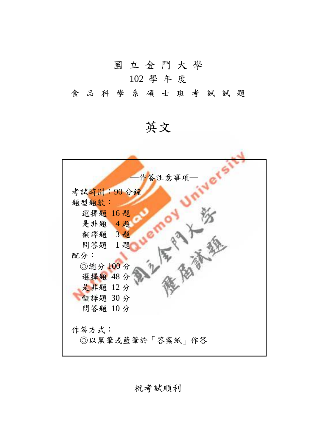國 立 金 門 大 學

## 102 學 年 度

食品科學 系 碩 士 班 考 試 試 題

英文



祝考試順利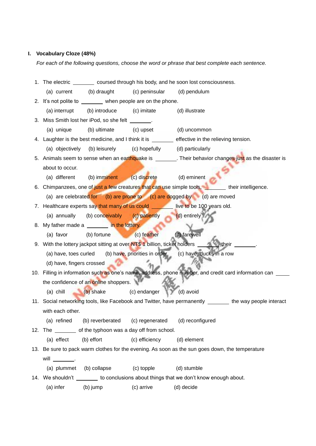## **I. Vocabulary Cloze (48%)**

*For each of the following questions, choose the word or phrase that best complete each sentence.*

|                                                                                                          |                                                              |                             | 1. The electric ________ coursed through his body, and he soon lost consciousness.               |
|----------------------------------------------------------------------------------------------------------|--------------------------------------------------------------|-----------------------------|--------------------------------------------------------------------------------------------------|
|                                                                                                          | (a) current (b) draught                                      | (c) peninsular (d) pendulum |                                                                                                  |
| 2. It's not polite to ________ when people are on the phone.                                             |                                                              |                             |                                                                                                  |
| (a) interrupt                                                                                            | (b) introduce (c) imitate                                    |                             | (d) illustrate                                                                                   |
|                                                                                                          | 3. Miss Smith lost her iPod, so she felt ________.           |                             |                                                                                                  |
| (a) unique                                                                                               | (b) ultimate (c) upset                                       |                             | (d) uncommon                                                                                     |
|                                                                                                          |                                                              |                             | 4. Laughter is the best medicine, and I think it is ________ effective in the relieving tension. |
|                                                                                                          | (a) objectively (b) leisurely (c) hopefully (d) particularly |                             |                                                                                                  |
| 5. Animals seem to sense when an earthquake is ________. Their behavior changes just as the disaster is  |                                                              |                             |                                                                                                  |
| about to occur.                                                                                          |                                                              |                             |                                                                                                  |
| (a) different                                                                                            | (b) imminent (c) discrete                                    |                             | (d) eminent                                                                                      |
|                                                                                                          |                                                              |                             | 6. Chimpanzees, one of just a few creatures that can use simple tools, their intelligence.       |
| (a) are celebrated for (b) are prone to (c) are dogged by (d) are moved                                  |                                                              |                             |                                                                                                  |
|                                                                                                          |                                                              |                             | 7. Healthcare experts say that many of us could <u>seems</u> live to be 100 years old.           |
| (a) annually                                                                                             | (b) conceivably (c) patiently                                |                             | (d) entirely                                                                                     |
|                                                                                                          | 8. My father made a _______ in the lottery.                  |                             |                                                                                                  |
| (a) favor                                                                                                | (b) fortune                                                  | (c) feather                 | (d) farewell                                                                                     |
|                                                                                                          |                                                              |                             | 9. With the lottery jackpot sitting at over NT\$ 1 billion, ticket holders _______ their _______ |
|                                                                                                          |                                                              |                             | (a) have, toes curled (b) have, priorities in order (c) have, ducks in a row                     |
| (d) have, fingers crossed                                                                                |                                                              |                             |                                                                                                  |
| 10. Filling in information such as one's name, address, phone number, and credit card information can    |                                                              |                             |                                                                                                  |
| the confidence of an online shoppers.                                                                    |                                                              |                             |                                                                                                  |
| $(a)$ chill                                                                                              | (b) shake (c) endanger (d) avoid                             |                             |                                                                                                  |
| 11. Social networking tools, like Facebook and Twitter, have permanently _______ the way people interact |                                                              |                             |                                                                                                  |
| with each other.                                                                                         |                                                              |                             |                                                                                                  |
|                                                                                                          | (a) refined (b) reverberated (c) regenerated                 |                             | (d) reconfigured                                                                                 |
|                                                                                                          | 12. The _________ of the typhoon was a day off from school.  |                             |                                                                                                  |
| (a) effect                                                                                               | (b) effort                                                   | (c) efficiency              | (d) element                                                                                      |
| 13. Be sure to pack warm clothes for the evening. As soon as the sun goes down, the temperature          |                                                              |                             |                                                                                                  |
| will $\_\_\_\_\_\_\$ .                                                                                   |                                                              |                             |                                                                                                  |
| (a) plummet (b) collapse                                                                                 |                                                              | (c) topple                  | (d) stumble                                                                                      |
|                                                                                                          |                                                              |                             | 14. We shouldn't _________ to conclusions about things that we don't know enough about.          |
| (a) infer                                                                                                | (b) jump                                                     | (c) arrive                  | (d) decide                                                                                       |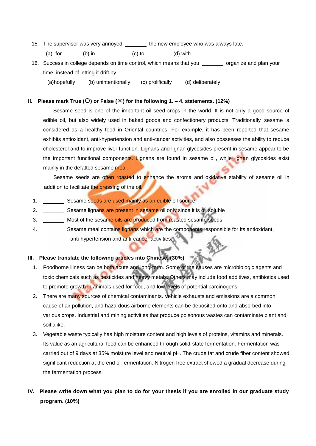- 15. The supervisor was very annoyed the new employee who was always late.
	- (a) for (b) in (c) to (d) with
- 16. Success in college depends on time control, which means that you organize and plan your time, instead of letting it drift by.
	- (a)hopefully (b) unintentionally (c) prolifically (d) deliberately

## **II. Please mark True () or False () for the following 1. – 4. statements. (12%)**

Sesame seed is one of the important oil seed crops in the world. It is not only a good source of edible oil, but also widely used in baked goods and confectionery products. Traditionally, sesame is considered as a healthy food in Oriental countries. For example, it has been reported that sesame exhibits antioxidant, anti-hypertension and anti-cancer activities, and also possesses the ability to reduce cholesterol and to improve liver function. Lignans and lignan glycosides present in sesame appear to be the important functional components. Lignans are found in sesame oil, while lignan glycosides exist mainly in the defatted sesame meal.

Sesame seeds are often roasted to enhance the aroma and oxidative stability of sesame oil in addition to facilitate the pressing of the oil.

- 1. Sesame seeds are used mainly as an edible oil source.
- 2. Sesame lignans are present in sesame oil only since it is oil soluble
- 3. Most of the sesame oils are produced from roasted sesame seeds.
- 4. Sesame meal contains lignans which are the components responsible for its antioxidant, anti-hypertension and anti-cancer activities.

## **III. Please translate the following articles into Chinese. (30%)**

- 1. Foodborne illness can be both acute and long-term. Some of the causes are microbiologic agents and toxic chemicals such as pesticides and heavy metals. Others may include food additives, antibiotics used to promote growth in animals used for food, and low levels of potential carcinogens.
- 2. There are many sources of chemical contaminants. Vehicle exhausts and emissions are a common cause of air pollution, and hazardous airborne elements can be deposited onto and absorbed into various crops. Industrial and mining activities that produce poisonous wastes can contaminate plant and soil alike.
- 3. Vegetable waste typically has high moisture content and high levels of proteins, vitamins and minerals. Its value as an agricultural feed can be enhanced through solid-state fermentation. Fermentation was carried out of 9 days at 35% moisture level and neutral pH. The crude fat and crude fiber content showed significant reduction at the end of fermentation. Nitrogen free extract showed a gradual decrease during the fermentation process.
- **IV. Please write down what you plan to do for your thesis if you are enrolled in our graduate study program. (10%)**